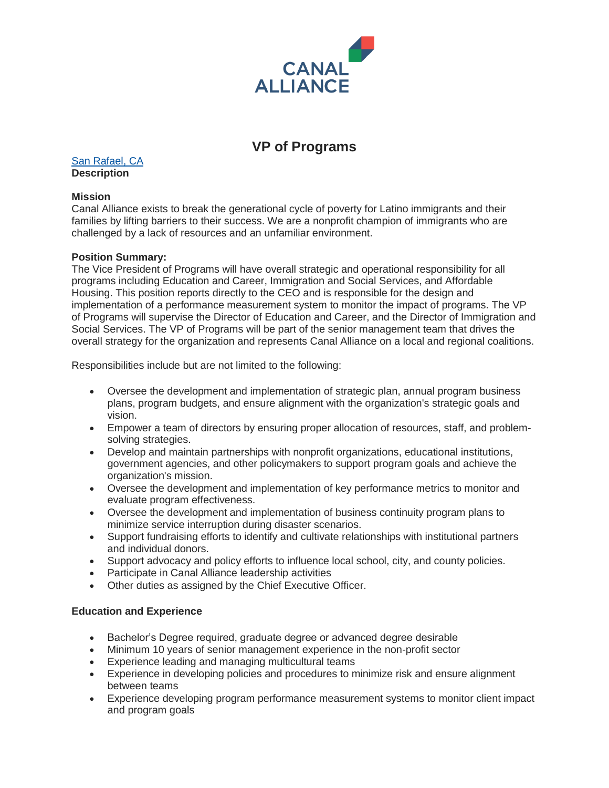

# **VP of Programs**

[San Rafael, CA](http://maps.google.com/maps?q=91+Larkspur+St+San+Rafael+CA+94901) **Description**

## **Mission**

Canal Alliance exists to break the generational cycle of poverty for Latino immigrants and their families by lifting barriers to their success. We are a nonprofit champion of immigrants who are challenged by a lack of resources and an unfamiliar environment.

## **Position Summary:**

The Vice President of Programs will have overall strategic and operational responsibility for all programs including Education and Career, Immigration and Social Services, and Affordable Housing. This position reports directly to the CEO and is responsible for the design and implementation of a performance measurement system to monitor the impact of programs. The VP of Programs will supervise the Director of Education and Career, and the Director of Immigration and Social Services. The VP of Programs will be part of the senior management team that drives the overall strategy for the organization and represents Canal Alliance on a local and regional coalitions.

Responsibilities include but are not limited to the following:

- Oversee the development and implementation of strategic plan, annual program business plans, program budgets, and ensure alignment with the organization's strategic goals and vision.
- Empower a team of directors by ensuring proper allocation of resources, staff, and problemsolving strategies.
- Develop and maintain partnerships with nonprofit organizations, educational institutions, government agencies, and other policymakers to support program goals and achieve the organization's mission.
- Oversee the development and implementation of key performance metrics to monitor and evaluate program effectiveness.
- Oversee the development and implementation of business continuity program plans to minimize service interruption during disaster scenarios.
- Support fundraising efforts to identify and cultivate relationships with institutional partners and individual donors.
- Support advocacy and policy efforts to influence local school, city, and county policies.
- Participate in Canal Alliance leadership activities
- Other duties as assigned by the Chief Executive Officer.

# **Education and Experience**

- Bachelor's Degree required, graduate degree or advanced degree desirable
- Minimum 10 years of senior management experience in the non-profit sector
- Experience leading and managing multicultural teams
- Experience in developing policies and procedures to minimize risk and ensure alignment between teams
- Experience developing program performance measurement systems to monitor client impact and program goals